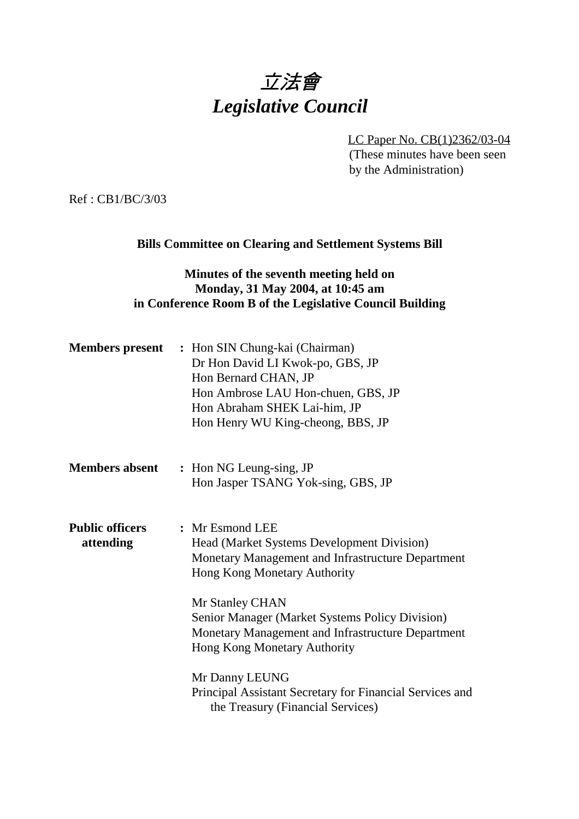# 立法會 *Legislative Council*

LC Paper No. CB(1)2362/03-04 (These minutes have been seen by the Administration)

Ref : CB1/BC/3/03

#### **Bills Committee on Clearing and Settlement Systems Bill**

## **Minutes of the seventh meeting held on Monday, 31 May 2004, at 10:45 am in Conference Room B of the Legislative Council Building**

|                                     | <b>Members present</b> : Hon SIN Chung-kai (Chairman)<br>Dr Hon David LI Kwok-po, GBS, JP<br>Hon Bernard CHAN, JP<br>Hon Ambrose LAU Hon-chuen, GBS, JP<br>Hon Abraham SHEK Lai-him, JP<br>Hon Henry WU King-cheong, BBS, JP |
|-------------------------------------|------------------------------------------------------------------------------------------------------------------------------------------------------------------------------------------------------------------------------|
| <b>Members absent</b>               | : Hon NG Leung-sing, JP<br>Hon Jasper TSANG Yok-sing, GBS, JP                                                                                                                                                                |
| <b>Public officers</b><br>attending | : Mr Esmond LEE<br><b>Head (Market Systems Development Division)</b><br>Monetary Management and Infrastructure Department<br>Hong Kong Monetary Authority                                                                    |
|                                     | Mr Stanley CHAN<br>Senior Manager (Market Systems Policy Division)<br>Monetary Management and Infrastructure Department<br>Hong Kong Monetary Authority                                                                      |
|                                     | Mr Danny LEUNG<br>Principal Assistant Secretary for Financial Services and<br>the Treasury (Financial Services)                                                                                                              |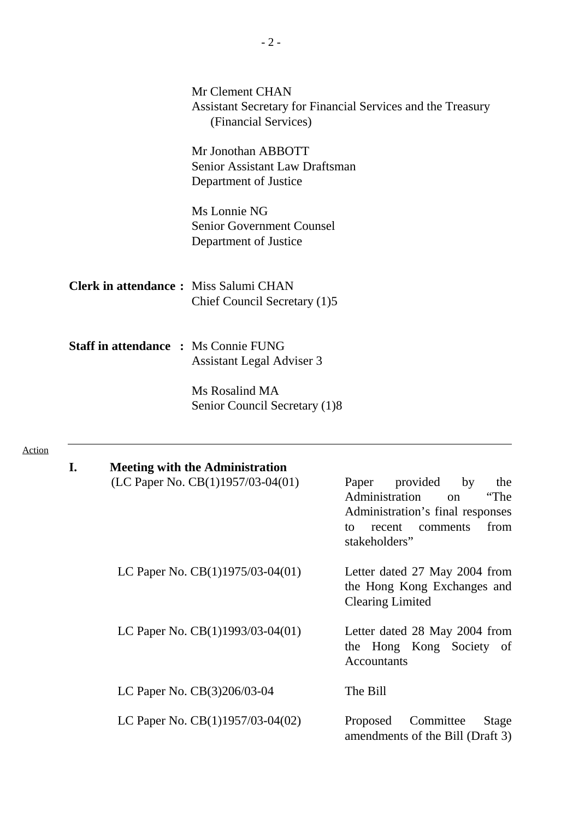|                                              | Mr Clement CHAN<br>(Financial Services)                                         |                               | Assistant Secretary for Financial Services and the Treasury                                                                                          |
|----------------------------------------------|---------------------------------------------------------------------------------|-------------------------------|------------------------------------------------------------------------------------------------------------------------------------------------------|
|                                              | Mr Jonothan ABBOTT<br>Senior Assistant Law Draftsman<br>Department of Justice   |                               |                                                                                                                                                      |
|                                              | Ms Lonnie NG<br>Senior Government Counsel<br>Department of Justice              |                               |                                                                                                                                                      |
| <b>Clerk in attendance:</b> Miss Salumi CHAN | Chief Council Secretary (1)5                                                    |                               |                                                                                                                                                      |
| <b>Staff in attendance : Ms Connie FUNG</b>  | <b>Assistant Legal Adviser 3</b>                                                |                               |                                                                                                                                                      |
|                                              | Ms Rosalind MA<br>Senior Council Secretary (1)8                                 |                               |                                                                                                                                                      |
| I.                                           | <b>Meeting with the Administration</b><br>(LC Paper No. $CB(1)1957/03-04(01)$ ) |                               | Paper provided<br>by<br>the<br>Administration<br>"The<br>on<br>Administration's final responses<br>from<br>to<br>recent<br>comments<br>stakeholders" |
|                                              | LC Paper No. $CB(1)1975/03-04(01)$                                              | $\overbrace{\phantom{aaaaa}}$ | Letter dated 27 May 2004 from<br>the Hong Kong Exchanges and<br><b>Clearing Limited</b>                                                              |
|                                              | LC Paper No. $CB(1)1993/03-04(01)$                                              |                               | - Letter dated 28 May 2004 from<br>the Hong Kong Society of<br>Accountants                                                                           |
|                                              | LC Paper No. CB(3)206/03-04                                                     |                               | The Bill                                                                                                                                             |
|                                              | LC Paper No. $CB(1)1957/03-04(02)$                                              |                               | Committee<br>Proposed<br>Stage<br>amendments of the Bill (Draft 3)                                                                                   |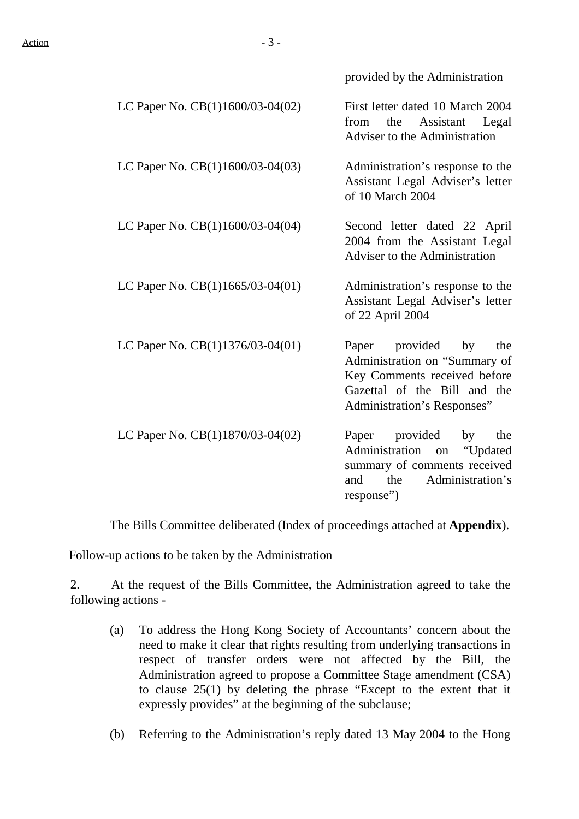provided by the Administration

| LC Paper No. CB(1)1600/03-04(02)   | First letter dated 10 March 2004<br>Assistant<br>the<br>Legal<br>from<br>Adviser to the Administration                                                   |
|------------------------------------|----------------------------------------------------------------------------------------------------------------------------------------------------------|
| LC Paper No. $CB(1)1600/03-04(03)$ | Administration's response to the<br>Assistant Legal Adviser's letter<br>of 10 March 2004                                                                 |
| LC Paper No. $CB(1)1600/03-04(04)$ | Second letter dated 22 April<br>2004 from the Assistant Legal<br>Adviser to the Administration                                                           |
| LC Paper No. $CB(1)1665/03-04(01)$ | — Administration's response to the<br>Assistant Legal Adviser's letter<br>of 22 April 2004                                                               |
| LC Paper No. $CB(1)1376/03-04(01)$ | Paper provided by<br>the<br>Administration on "Summary of<br>Key Comments received before<br>Gazettal of the Bill and the<br>Administration's Responses" |
| LC Paper No. CB(1)1870/03-04(02)   | Paper provided<br>by<br>the<br>Administration<br>"Updated<br>on<br>summary of comments received<br>Administration's<br>and<br>the<br>response")          |

The Bills Committee deliberated (Index of proceedings attached at **Appendix**).

Follow-up actions to be taken by the Administration

2. At the request of the Bills Committee, the Administration agreed to take the following actions -

- (a) To address the Hong Kong Society of Accountants' concern about the need to make it clear that rights resulting from underlying transactions in respect of transfer orders were not affected by the Bill, the Administration agreed to propose a Committee Stage amendment (CSA) to clause 25(1) by deleting the phrase "Except to the extent that it expressly provides" at the beginning of the subclause;
- (b) Referring to the Administration's reply dated 13 May 2004 to the Hong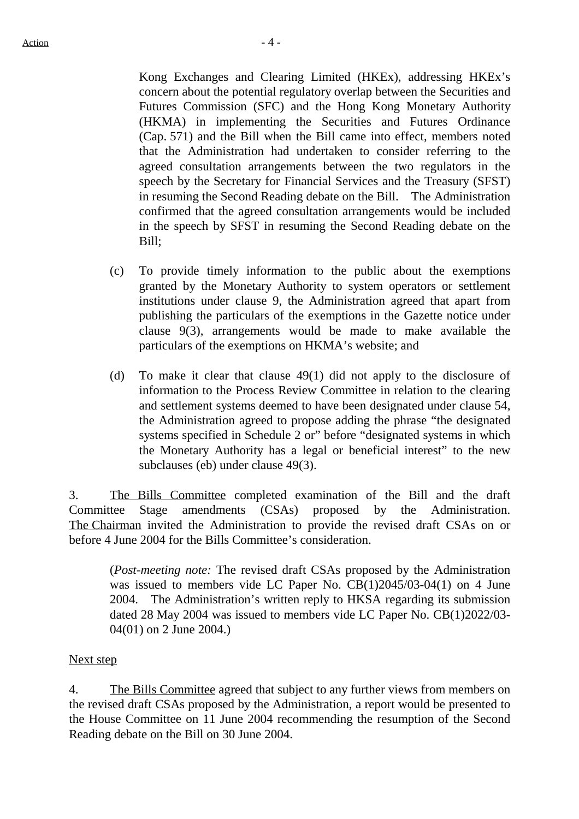Kong Exchanges and Clearing Limited (HKEx), addressing HKEx's concern about the potential regulatory overlap between the Securities and Futures Commission (SFC) and the Hong Kong Monetary Authority (HKMA) in implementing the Securities and Futures Ordinance (Cap. 571) and the Bill when the Bill came into effect, members noted that the Administration had undertaken to consider referring to the agreed consultation arrangements between the two regulators in the speech by the Secretary for Financial Services and the Treasury (SFST) in resuming the Second Reading debate on the Bill. The Administration confirmed that the agreed consultation arrangements would be included in the speech by SFST in resuming the Second Reading debate on the Bill;

- (c) To provide timely information to the public about the exemptions granted by the Monetary Authority to system operators or settlement institutions under clause 9, the Administration agreed that apart from publishing the particulars of the exemptions in the Gazette notice under clause 9(3), arrangements would be made to make available the particulars of the exemptions on HKMA's website; and
- (d) To make it clear that clause 49(1) did not apply to the disclosure of information to the Process Review Committee in relation to the clearing and settlement systems deemed to have been designated under clause 54, the Administration agreed to propose adding the phrase "the designated systems specified in Schedule 2 or" before "designated systems in which the Monetary Authority has a legal or beneficial interest" to the new subclauses (eb) under clause 49(3).

3. The Bills Committee completed examination of the Bill and the draft Committee Stage amendments (CSAs) proposed by the Administration. The Chairman invited the Administration to provide the revised draft CSAs on or before 4 June 2004 for the Bills Committee's consideration.

(*Post-meeting note:* The revised draft CSAs proposed by the Administration was issued to members vide LC Paper No. CB(1)2045/03-04(1) on 4 June 2004. The Administration's written reply to HKSA regarding its submission dated 28 May 2004 was issued to members vide LC Paper No. CB(1)2022/03- 04(01) on 2 June 2004.)

#### Next step

4. The Bills Committee agreed that subject to any further views from members on the revised draft CSAs proposed by the Administration, a report would be presented to the House Committee on 11 June 2004 recommending the resumption of the Second Reading debate on the Bill on 30 June 2004.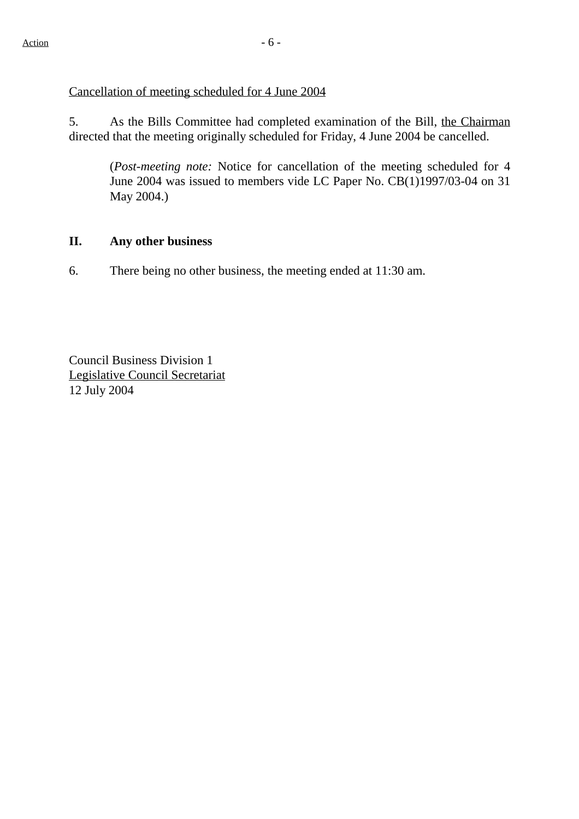Cancellation of meeting scheduled for 4 June 2004

5. As the Bills Committee had completed examination of the Bill, the Chairman directed that the meeting originally scheduled for Friday, 4 June 2004 be cancelled.

(*Post-meeting note:* Notice for cancellation of the meeting scheduled for 4 June 2004 was issued to members vide LC Paper No. CB(1)1997/03-04 on 31 May 2004.)

### **II. Any other business**

6. There being no other business, the meeting ended at 11:30 am.

Council Business Division 1 Legislative Council Secretariat 12 July 2004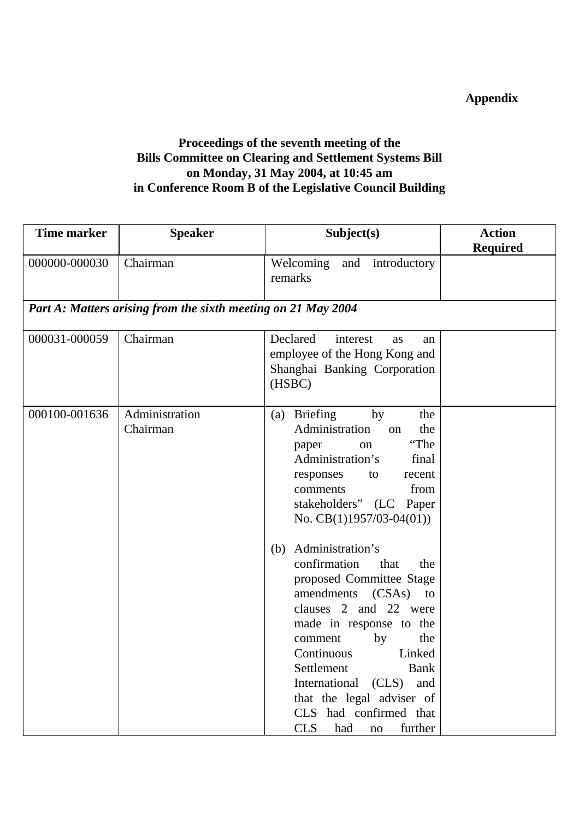# **Appendix**

# **Proceedings of the seventh meeting of the Bills Committee on Clearing and Settlement Systems Bill on Monday, 31 May 2004, at 10:45 am in Conference Room B of the Legislative Council Building**

| <b>Time marker</b> | <b>Speaker</b>                                                | Subject(s)                                            | <b>Action</b>   |
|--------------------|---------------------------------------------------------------|-------------------------------------------------------|-----------------|
|                    |                                                               |                                                       | <b>Required</b> |
| 000000-000030      | Chairman                                                      | Welcoming<br>and introductory                         |                 |
|                    |                                                               | remarks                                               |                 |
|                    |                                                               |                                                       |                 |
|                    | Part A: Matters arising from the sixth meeting on 21 May 2004 |                                                       |                 |
| 000031-000059      | Chairman                                                      | Declared<br>interest<br>as<br>an                      |                 |
|                    |                                                               | employee of the Hong Kong and                         |                 |
|                    |                                                               | Shanghai Banking Corporation                          |                 |
|                    |                                                               | (HSBC)                                                |                 |
|                    |                                                               |                                                       |                 |
| 000100-001636      | Administration                                                | <b>Briefing</b><br>by<br>the<br>(a)                   |                 |
|                    | Chairman                                                      | Administration<br>the<br>on                           |                 |
|                    |                                                               | "The<br>paper<br>on                                   |                 |
|                    |                                                               | Administration's<br>final                             |                 |
|                    |                                                               | responses<br>to<br>recent                             |                 |
|                    |                                                               | from<br>comments                                      |                 |
|                    |                                                               | stakeholders" (LC Paper<br>No. $CB(1)1957/03-04(01))$ |                 |
|                    |                                                               |                                                       |                 |
|                    |                                                               | Administration's<br>(b)                               |                 |
|                    |                                                               | confirmation<br>that<br>the                           |                 |
|                    |                                                               | proposed Committee Stage                              |                 |
|                    |                                                               | amendments (CSAs)<br>to                               |                 |
|                    |                                                               | clauses 2 and 22 were                                 |                 |
|                    |                                                               | made in response to the                               |                 |
|                    |                                                               | the<br>by<br>comment                                  |                 |
|                    |                                                               | Continuous<br>Linked                                  |                 |
|                    |                                                               | Settlement<br><b>Bank</b>                             |                 |
|                    |                                                               | International (CLS)<br>and                            |                 |
|                    |                                                               | that the legal adviser of                             |                 |
|                    |                                                               | CLS had confirmed that                                |                 |
|                    |                                                               | <b>CLS</b><br>further<br>had<br>no                    |                 |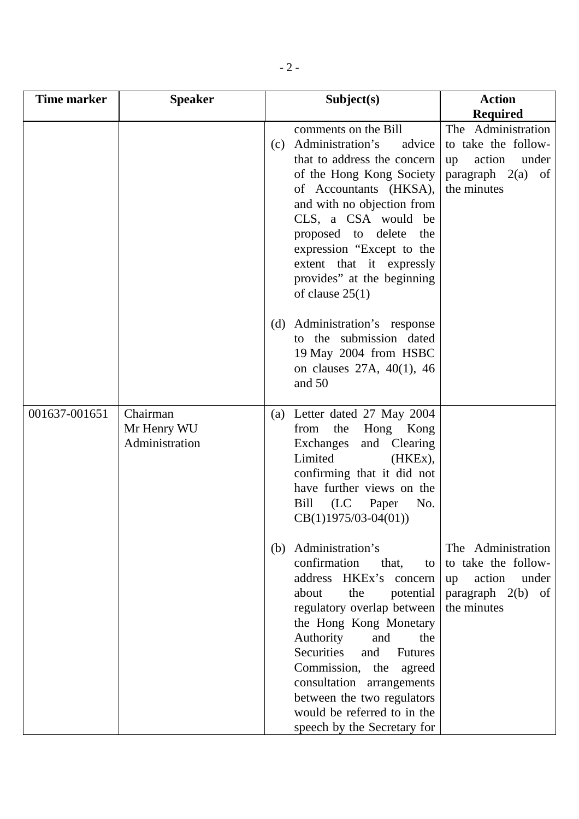| <b>Time marker</b> | <b>Speaker</b>                            |     | Subject(s)                                                                                                                                                                                                                                                                                                                                                                          | <b>Action</b>                                                                                            |
|--------------------|-------------------------------------------|-----|-------------------------------------------------------------------------------------------------------------------------------------------------------------------------------------------------------------------------------------------------------------------------------------------------------------------------------------------------------------------------------------|----------------------------------------------------------------------------------------------------------|
|                    |                                           |     |                                                                                                                                                                                                                                                                                                                                                                                     | <b>Required</b>                                                                                          |
|                    |                                           | (c) | comments on the Bill<br>Administration's<br>advice<br>that to address the concern<br>of the Hong Kong Society<br>of Accountants (HKSA),<br>and with no objection from<br>CLS, a CSA would be<br>proposed to delete<br>the<br>expression "Except to the<br>extent that it expressly<br>provides" at the beginning<br>of clause $25(1)$                                               | The Administration<br>to take the follow-<br>action<br>under<br>up<br>paragraph $2(a)$ of<br>the minutes |
|                    |                                           | (d) | Administration's response<br>to the submission dated<br>19 May 2004 from HSBC<br>on clauses 27A, 40(1), 46<br>and 50                                                                                                                                                                                                                                                                |                                                                                                          |
| 001637-001651      | Chairman<br>Mr Henry WU<br>Administration |     | (a) Letter dated 27 May 2004<br>the<br>Hong Kong<br>from<br>Exchanges<br>and<br>Clearing<br>Limited<br>(HKEx),<br>confirming that it did not<br>have further views on the<br>(LC Paper<br>Bill<br>No.<br>$CB(1)1975/03-04(01))$                                                                                                                                                     |                                                                                                          |
|                    |                                           | (b) | Administration's<br>confirmation<br>that,<br>to<br>address HKEx's concern<br>the<br>about<br>potential<br>regulatory overlap between<br>the Hong Kong Monetary<br>Authority<br>and<br>the<br>Securities<br>and<br><b>Futures</b><br>Commission, the agreed<br>consultation arrangements<br>between the two regulators<br>would be referred to in the<br>speech by the Secretary for | The Administration<br>to take the follow-<br>action<br>under<br>up<br>paragraph $2(b)$ of<br>the minutes |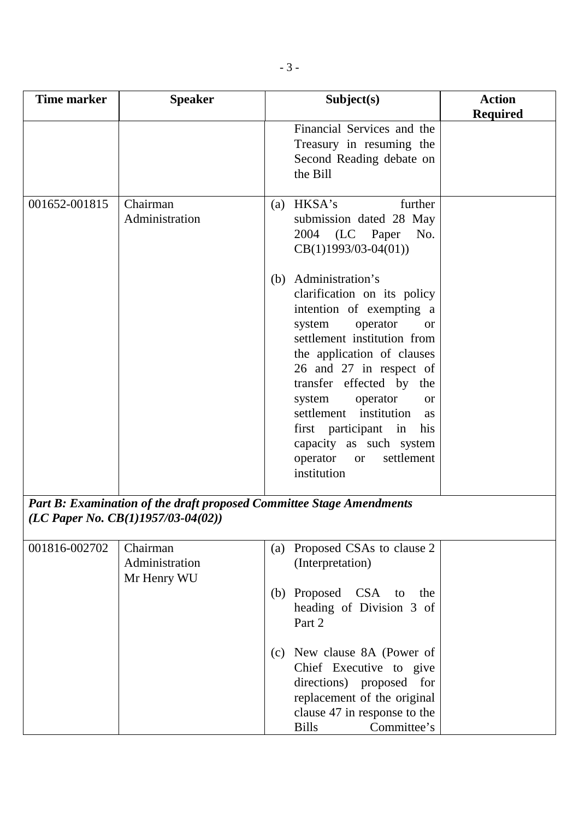| <b>Time marker</b> | <b>Speaker</b>                                                                                                |     | Subject(s)                                                                                                                                                                                                                                                                                                                                                                                                                                                                   | <b>Action</b>   |
|--------------------|---------------------------------------------------------------------------------------------------------------|-----|------------------------------------------------------------------------------------------------------------------------------------------------------------------------------------------------------------------------------------------------------------------------------------------------------------------------------------------------------------------------------------------------------------------------------------------------------------------------------|-----------------|
|                    |                                                                                                               |     |                                                                                                                                                                                                                                                                                                                                                                                                                                                                              | <b>Required</b> |
|                    |                                                                                                               |     | Financial Services and the<br>Treasury in resuming the<br>Second Reading debate on<br>the Bill                                                                                                                                                                                                                                                                                                                                                                               |                 |
| 001652-001815      | Chairman<br>Administration                                                                                    | (a) | further<br>HKSA's<br>submission dated 28 May<br>(LC Paper<br>2004<br>No.<br>$CB(1)1993/03-04(01))$<br>(b) Administration's<br>clarification on its policy<br>intention of exempting a<br>operator<br>system<br><b>or</b><br>settlement institution from<br>the application of clauses<br>26 and 27 in respect of<br>transfer effected by<br>the<br>operator<br>system<br><b>or</b><br>settlement institution<br>as<br>first participant in<br>his<br>capacity as such system |                 |
|                    | Part B: Examination of the draft proposed Committee Stage Amendments<br>(LC Paper No. $CB(1)1957/03-04(02)$ ) |     | settlement<br>operator<br><b>or</b><br>institution                                                                                                                                                                                                                                                                                                                                                                                                                           |                 |

| 001816-002702 | Chairman       |     | (a) Proposed CSAs to clause 2 |  |
|---------------|----------------|-----|-------------------------------|--|
|               | Administration |     | (Interpretation)              |  |
|               | Mr Henry WU    |     |                               |  |
|               |                |     | (b) Proposed CSA to<br>the    |  |
|               |                |     | heading of Division 3 of      |  |
|               |                |     | Part 2                        |  |
|               |                |     |                               |  |
|               |                | (c) | New clause 8A (Power of       |  |
|               |                |     | Chief Executive to give       |  |
|               |                |     | directions) proposed for      |  |
|               |                |     | replacement of the original   |  |
|               |                |     | clause 47 in response to the  |  |
|               |                |     | Committee's<br><b>Bills</b>   |  |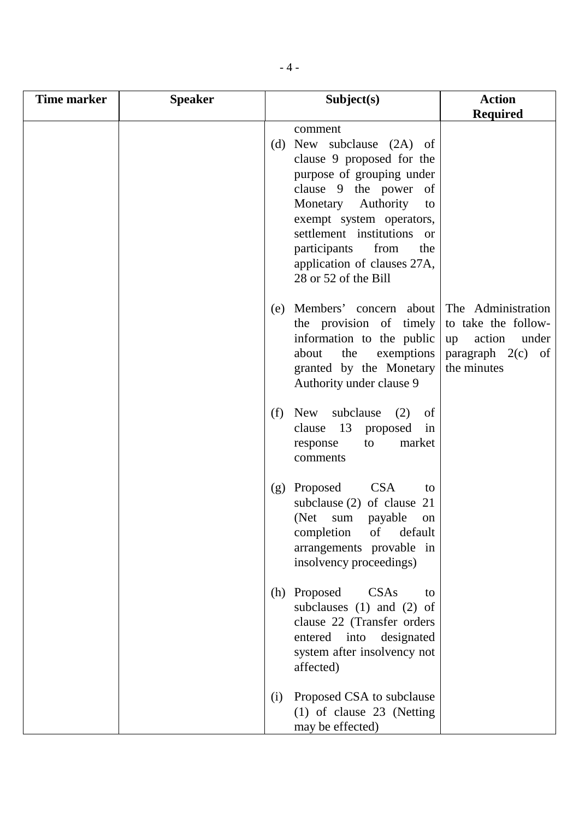| <b>Time marker</b> | <b>Speaker</b> |     | Subject(s)                                                                                                                                                                                                                                                                                          | <b>Action</b>                                                                                            |
|--------------------|----------------|-----|-----------------------------------------------------------------------------------------------------------------------------------------------------------------------------------------------------------------------------------------------------------------------------------------------------|----------------------------------------------------------------------------------------------------------|
|                    |                |     |                                                                                                                                                                                                                                                                                                     | <b>Required</b>                                                                                          |
|                    |                |     | comment<br>(d) New subclause (2A) of<br>clause 9 proposed for the<br>purpose of grouping under<br>clause 9 the power of<br>Monetary Authority<br>to<br>exempt system operators,<br>settlement institutions or<br>participants<br>from<br>the<br>application of clauses 27A,<br>28 or 52 of the Bill |                                                                                                          |
|                    |                | (e) | Members' concern about<br>the provision of timely<br>information to the public<br>about<br>the<br>exemptions<br>granted by the Monetary<br>Authority under clause 9                                                                                                                                 | The Administration<br>to take the follow-<br>action<br>under<br>up<br>paragraph $2(c)$ of<br>the minutes |
|                    |                | (f) | New subclause<br>(2)<br>of<br>13<br>clause<br>proposed<br>in<br>market<br>to<br>response<br>comments                                                                                                                                                                                                |                                                                                                          |
|                    |                | (g) | <b>CSA</b><br>Proposed<br>to<br>subclause $(2)$ of clause $21$<br>(Net)<br>payable<br>sum<br>on<br>completion<br>of<br>default<br>arrangements provable in<br>insolvency proceedings)                                                                                                               |                                                                                                          |
|                    |                |     | (h) Proposed<br>CSAs<br>to<br>subclauses $(1)$ and $(2)$ of<br>clause 22 (Transfer orders<br>entered into designated<br>system after insolvency not<br>affected)                                                                                                                                    |                                                                                                          |
|                    |                | (i) | Proposed CSA to subclause<br>(1) of clause 23 (Netting<br>may be effected)                                                                                                                                                                                                                          |                                                                                                          |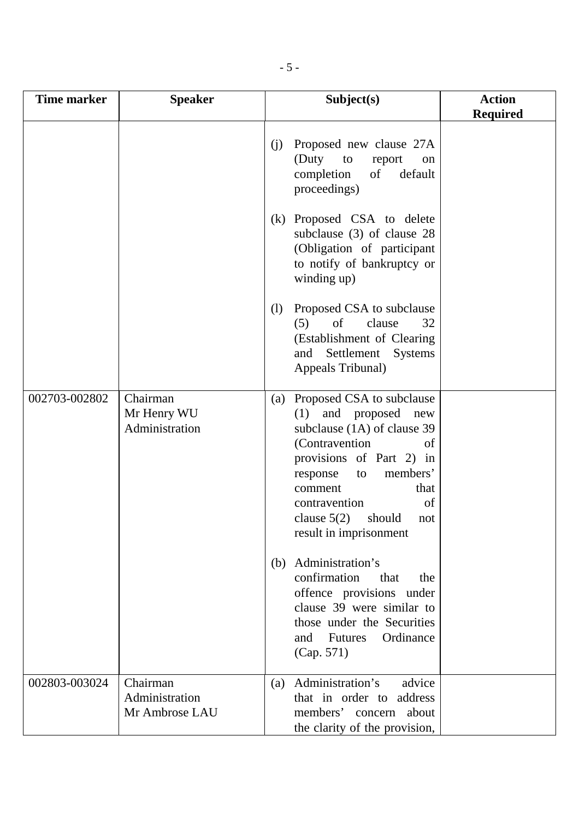| <b>Time marker</b> | <b>Speaker</b>                               | Subject(s)                                                                                                                                                                                                                                                                                                                                                                                               | <b>Action</b><br><b>Required</b> |
|--------------------|----------------------------------------------|----------------------------------------------------------------------------------------------------------------------------------------------------------------------------------------------------------------------------------------------------------------------------------------------------------------------------------------------------------------------------------------------------------|----------------------------------|
|                    |                                              | Proposed new clause 27A<br>(i)<br>(Duty<br>to<br>report<br>on<br>of<br>default<br>completion<br>proceedings)                                                                                                                                                                                                                                                                                             |                                  |
|                    |                                              | Proposed CSA to delete<br>(k)<br>subclause $(3)$ of clause 28<br>(Obligation of participant<br>to notify of bankruptcy or<br>winding up)                                                                                                                                                                                                                                                                 |                                  |
|                    |                                              | Proposed CSA to subclause<br>(1)<br>of<br>clause<br>(5)<br>32<br>(Establishment of Clearing<br>Settlement<br>Systems<br>and<br>Appeals Tribunal)                                                                                                                                                                                                                                                         |                                  |
| 002703-002802      | Chairman<br>Mr Henry WU<br>Administration    | Proposed CSA to subclause<br>(a)<br>and proposed<br>(1)<br>new<br>subclause (1A) of clause 39<br>(Contravention<br>of<br>provisions of Part 2) in<br>members'<br>response<br>to<br>that<br>comment<br>of<br>contravention<br>clause $5(2)$<br>should<br>not<br>result in imprisonment<br>Administration's<br>(b)<br>confirmation<br>that<br>the<br>offence provisions under<br>clause 39 were similar to |                                  |
|                    |                                              | those under the Securities<br>Ordinance<br><b>Futures</b><br>and<br>(Cap. 571)                                                                                                                                                                                                                                                                                                                           |                                  |
| 002803-003024      | Chairman<br>Administration<br>Mr Ambrose LAU | Administration's<br>advice<br>(a)<br>that in order to address<br>members' concern<br>about<br>the clarity of the provision,                                                                                                                                                                                                                                                                              |                                  |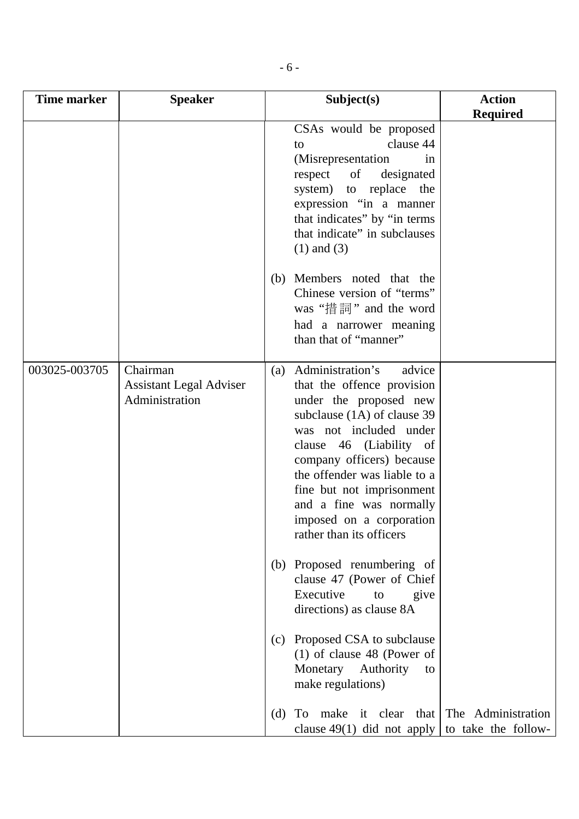| Time marker   | <b>Speaker</b>                                               |     | Subject(s)                                                                                                                                                                                                                                                                                                                                                                                                      | <b>Action</b>      |
|---------------|--------------------------------------------------------------|-----|-----------------------------------------------------------------------------------------------------------------------------------------------------------------------------------------------------------------------------------------------------------------------------------------------------------------------------------------------------------------------------------------------------------------|--------------------|
|               |                                                              |     |                                                                                                                                                                                                                                                                                                                                                                                                                 | <b>Required</b>    |
|               |                                                              |     | CSAs would be proposed<br>clause 44<br>to<br>(Misrepresentation)<br>in<br>of<br>respect<br>designated<br>system) to replace<br>the<br>expression "in a manner<br>that indicates" by "in terms<br>that indicate" in subclauses<br>$(1)$ and $(3)$                                                                                                                                                                |                    |
|               |                                                              | (b) | Members noted that the<br>Chinese version of "terms"<br>was "措詞" and the word<br>had a narrower meaning<br>than that of "manner"                                                                                                                                                                                                                                                                                |                    |
| 003025-003705 | Chairman<br><b>Assistant Legal Adviser</b><br>Administration | (a) | Administration's<br>advice<br>that the offence provision<br>under the proposed new<br>subclause (1A) of clause 39<br>was not included under<br>clause 46 (Liability of<br>company officers) because<br>the offender was liable to a<br>fine but not imprisonment<br>and a fine was normally<br>imposed on a corporation<br>rather than its officers<br>(b) Proposed renumbering of<br>clause 47 (Power of Chief |                    |
|               |                                                              |     | Executive<br>to<br>give<br>directions) as clause 8A<br>(c) Proposed CSA to subclause<br>$(1)$ of clause 48 (Power of<br>Monetary Authority<br>to<br>make regulations)<br>(d) To make it clear that                                                                                                                                                                                                              | The Administration |